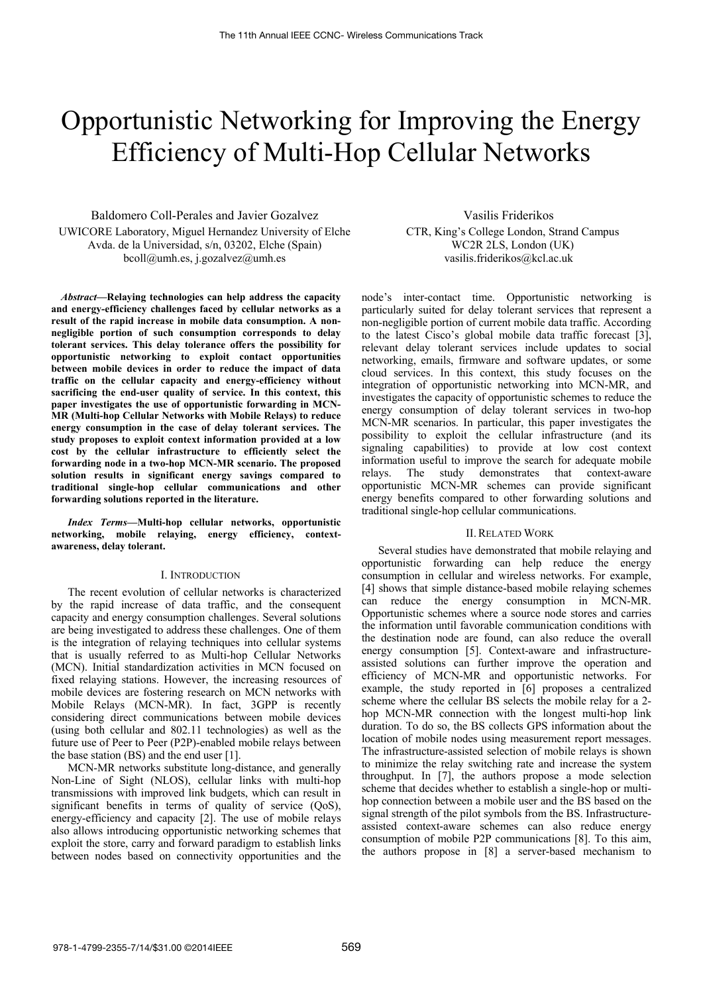# Opportunistic Networking for Improving the Energy Efficiency of Multi-Hop Cellular Networks

Baldomero Coll-Perales and Javier Gozalvez UWICORE Laboratory, Miguel Hernandez University of Elche Avda. de la Universidad, s/n, 03202, Elche (Spain) bcoll@umh.es, j.gozalvez@umh.es

*Abstract***—Relaying technologies can help address the capacity and energy-efficiency challenges faced by cellular networks as a result of the rapid increase in mobile data consumption. A nonnegligible portion of such consumption corresponds to delay tolerant services. This delay tolerance offers the possibility for opportunistic networking to exploit contact opportunities between mobile devices in order to reduce the impact of data traffic on the cellular capacity and energy-efficiency without sacrificing the end-user quality of service. In this context, this paper investigates the use of opportunistic forwarding in MCN-MR (Multi-hop Cellular Networks with Mobile Relays) to reduce energy consumption in the case of delay tolerant services. The study proposes to exploit context information provided at a low cost by the cellular infrastructure to efficiently select the forwarding node in a two-hop MCN-MR scenario. The proposed solution results in significant energy savings compared to traditional single-hop cellular communications and other forwarding solutions reported in the literature.** 

*Index Terms***—Multi-hop cellular networks, opportunistic networking, mobile relaying, energy efficiency, contextawareness, delay tolerant.** 

#### I. INTRODUCTION

The recent evolution of cellular networks is characterized by the rapid increase of data traffic, and the consequent capacity and energy consumption challenges. Several solutions are being investigated to address these challenges. One of them is the integration of relaying techniques into cellular systems that is usually referred to as Multi-hop Cellular Networks (MCN). Initial standardization activities in MCN focused on fixed relaying stations. However, the increasing resources of mobile devices are fostering research on MCN networks with Mobile Relays (MCN-MR). In fact, 3GPP is recently considering direct communications between mobile devices (using both cellular and 802.11 technologies) as well as the future use of Peer to Peer (P2P)-enabled mobile relays between the base station (BS) and the end user [1].

MCN-MR networks substitute long-distance, and generally Non-Line of Sight (NLOS), cellular links with multi-hop transmissions with improved link budgets, which can result in significant benefits in terms of quality of service (QoS), energy-efficiency and capacity [2]. The use of mobile relays also allows introducing opportunistic networking schemes that exploit the store, carry and forward paradigm to establish links between nodes based on connectivity opportunities and the

Vasilis Friderikos CTR, King's College London, Strand Campus WC2R 2LS, London (UK) vasilis.friderikos@kcl.ac.uk

node's inter-contact time. Opportunistic networking is particularly suited for delay tolerant services that represent a non-negligible portion of current mobile data traffic. According to the latest Cisco's global mobile data traffic forecast [3], relevant delay tolerant services include updates to social networking, emails, firmware and software updates, or some cloud services. In this context, this study focuses on the integration of opportunistic networking into MCN-MR, and investigates the capacity of opportunistic schemes to reduce the energy consumption of delay tolerant services in two-hop MCN-MR scenarios. In particular, this paper investigates the possibility to exploit the cellular infrastructure (and its signaling capabilities) to provide at low cost context information useful to improve the search for adequate mobile relays. The study demonstrates that context-aware opportunistic MCN-MR schemes can provide significant energy benefits compared to other forwarding solutions and traditional single-hop cellular communications.

#### II.RELATED WORK

Several studies have demonstrated that mobile relaying and opportunistic forwarding can help reduce the energy consumption in cellular and wireless networks. For example, [4] shows that simple distance-based mobile relaying schemes can reduce the energy consumption in MCN-MR. Opportunistic schemes where a source node stores and carries the information until favorable communication conditions with the destination node are found, can also reduce the overall energy consumption [5]. Context-aware and infrastructureassisted solutions can further improve the operation and efficiency of MCN-MR and opportunistic networks. For example, the study reported in [6] proposes a centralized scheme where the cellular BS selects the mobile relay for a 2 hop MCN-MR connection with the longest multi-hop link duration. To do so, the BS collects GPS information about the location of mobile nodes using measurement report messages. The infrastructure-assisted selection of mobile relays is shown to minimize the relay switching rate and increase the system throughput. In [7], the authors propose a mode selection scheme that decides whether to establish a single-hop or multihop connection between a mobile user and the BS based on the signal strength of the pilot symbols from the BS. Infrastructureassisted context-aware schemes can also reduce energy consumption of mobile P2P communications [8]. To this aim, the authors propose in [8] a server-based mechanism to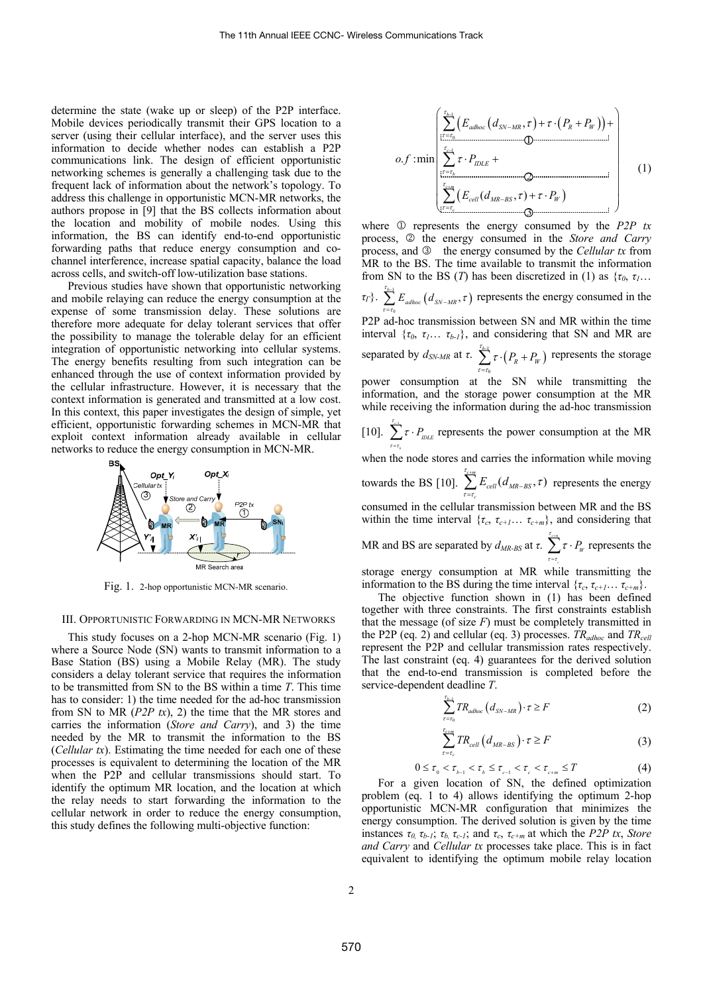determine the state (wake up or sleep) of the P2P interface. Mobile devices periodically transmit their GPS location to a server (using their cellular interface), and the server uses this information to decide whether nodes can establish a P2P communications link. The design of efficient opportunistic networking schemes is generally a challenging task due to the frequent lack of information about the network's topology. To address this challenge in opportunistic MCN-MR networks, the authors propose in [9] that the BS collects information about the location and mobility of mobile nodes. Using this information, the BS can identify end-to-end opportunistic forwarding paths that reduce energy consumption and cochannel interference, increase spatial capacity, balance the load across cells, and switch-off low-utilization base stations.

Previous studies have shown that opportunistic networking and mobile relaying can reduce the energy consumption at the expense of some transmission delay. These solutions are therefore more adequate for delay tolerant services that offer the possibility to manage the tolerable delay for an efficient integration of opportunistic networking into cellular systems. The energy benefits resulting from such integration can be enhanced through the use of context information provided by the cellular infrastructure. However, it is necessary that the context information is generated and transmitted at a low cost. In this context, this paper investigates the design of simple, yet efficient, opportunistic forwarding schemes in MCN-MR that exploit context information already available in cellular networks to reduce the energy consumption in MCN-MR.



Fig. 1. 2-hop opportunistic MCN-MR scenario.

## III. OPPORTUNISTIC FORWARDING IN MCN-MR NETWORKS

This study focuses on a 2-hop MCN-MR scenario (Fig. 1) where a Source Node (SN) wants to transmit information to a Base Station (BS) using a Mobile Relay (MR). The study considers a delay tolerant service that requires the information to be transmitted from SN to the BS within a time *T*. This time has to consider: 1) the time needed for the ad-hoc transmission from SN to MR  $(P2P tx)$ , 2) the time that the MR stores and carries the information (*Store and Carry*), and 3) the time needed by the MR to transmit the information to the BS (*Cellular tx*). Estimating the time needed for each one of these processes is equivalent to determining the location of the MR when the P2P and cellular transmissions should start. To identify the optimum MR location, and the location at which the relay needs to start forwarding the information to the cellular network in order to reduce the energy consumption, this study defines the following multi-objective function:

$$
o.f: \min \left( \frac{\sum_{\substack{\tau_{c-1}}^{\tau_{b-1}}} (E_{adhoc} (d_{SN-MR}, \tau) + \tau \cdot (P_R + P_W)) + \sum_{\substack{\tau_{c-1}}^{\tau_{c-1}} \tau \cdot P_{IDLE} + \sum_{\substack{\tau_{c-1}}^{\tau_{c-1}} \\ \vdots \\ \tau_{c-1}}^{\tau_{c-1}}}} \bigotimes \cdots \bigotimes \cdots \bigotimes \cdots \bigotimes \cdots \bigotimes \cdots \bigotimes \cdots \bigotimes \cdots \bigotimes \cdots \bigotimes \cdots \bigotimes \cdots \bigotimes \cdots \bigotimes \cdots \bigotimes \cdots \bigotimes \cdots \bigotimes \cdots \bigotimes \cdots \bigotimes \cdots \bigotimes \cdots \bigotimes \cdots \bigotimes \cdots \bigotimes \cdots \bigotimes \cdots \bigotimes \cdots \bigotimes \cdots \bigotimes \cdots \bigotimes \cdots \bigotimes \cdots \bigotimes \cdots \bigotimes \cdots \bigotimes \cdots \bigotimes \cdots \bigotimes \cdots \bigotimes \cdots \bigotimes \cdots \bigotimes \cdots \bigotimes \cdots \bigotimes \cdots \bigotimes \cdots \bigotimes \cdots \bigotimes \cdots \bigotimes \cdots \bigotimes \cdots \bigotimes \cdots \bigotimes \cdots \bigotimes \cdots \bigotimes \cdots \bigotimes \cdots \bigotimes \cdots \bigotimes \cdots \bigotimes \cdots \bigotimes \cdots \bigotimes \cdots \bigotimes \cdots \bigotimes \cdots \bigotimes \cdots \bigotimes \cdots \bigotimes \cdots \bigotimes \cdots \bigotimes \cdots \bigotimes \cdots \bigotimes \cdots \bigotimes \cdots \bigotimes \cdots \bigotimes \cdots \bigotimes \cdots \bigotimes \cdots \bigotimes \cdots \bigotimes \cdots \bigotimes \cdots \bigotimes \cdots \bigotimes \cdots \bigotimes \cdots \bigotimes \cdots \bigotimes \cdots \bigotimes \cdots \bigotimes \cdots \bigotimes \cdots \bigotimes \cdots \bigotimes \cdots \bigotimes \cdots \bigotimes \cdots \bigotimes \cdots \bigotimes \cdots \bigotimes \cdots \bigotimes \cdots \bigotimes \cdots \bigotimes \cdots \bigotimes \cdots \bigotimes \cdots \big
$$

where  $\Phi$  represents the energy consumed by the *P2P tx* process,  $\oslash$  the energy consumed in the *Store and Carry* process, and  $\circled{3}$  the energy consumed by the *Cellular tx* from MR to the BS. The time available to transmit the information from SN to the BS (*T*) has been discretized in (1) as  $\{\tau_0, \tau_1\}$ .

 $\{\tau_{T}\}$ .  $\sum_{i=1}^{n_{b-1}}E_{adhoc}\left(d_{\text{SN}-MR},\tau\right)$ 0  $\sum_{\tau_{b=1}}^{\tau_{b=1}} E_{\textit{adhoc}} \left(d_{\textit{SN}-\textit{MR}}\right),$  $\tau = \tau$  $\sum_{\tau=\tau_0}^{t_{b-1}} E_{adhoc} (d_{SN-MR}, \tau)$  represents the energy consumed in the P2P ad-hoc transmission between SN and MR within the time interval  $\{\tau_0, \tau_1, \ldots, \tau_{b-1}\}$ , and considering that SN and MR are separated by  $d_{SN-MR}$  at  $\tau$ .  $\sum_{i=1}^{t_{b-1}} \tau \cdot (P_R + P_W)$  $\epsilon$  $\sum^{\tau_{b-1}}\tau\cdot\left(P_{\scriptscriptstyle R}+P_{\scriptscriptstyle W}\right)$  $\tau = \tau$  $\tau$ i.  $\sum_{\tau=\tau_0}^{\infty} \tau \cdot (P_R + P_W)$  represents the storage

power consumption at the SN while transmitting the information, and the storage power consumption at the MR while receiving the information during the ad-hoc transmission

[10].  $\sum_{n=1}^{\infty} \tau \cdot P_{\text{max}}$  represents the power consumption at the MR *b*  $\tau = \tau$ i,

W

when the node stores and carries the information while moving towards the BS [10].  $\sum_{cell}^{t_{cell}} E_{cell}(d_{MR-BS}, \tau)$ *c*  $\sum^{\tau_{c+m}} E_{cell}(d_{\scriptscriptstyle MR-BS}$  $\tau = \tau$  $\sum_{\tau=\tau_c}^{\tau_{c+m}} E_{cell}(d_{MR-BS}, \tau)$  represents the energy consumed in the cellular transmission between MR and the BS within the time interval  $\{\tau_c, \tau_{c+1} \dots \tau_{c+m}\}$ , and considering that

MR and BS are separated by  $d_{MR\text{-}BS}$  at  $\tau$ .  $\sum_{n=1}^{100}$ *c*  $\sum^{\tau_{\rm csm}}\tau\cdot P_{_{\!\scriptscriptstyle H}}$  $\tau = \tau$  $\tau$ ä  $\sum_{\tau=\tau}$   $\tau \cdot P_{w}$  represents the

storage energy consumption at MR while transmitting the information to the BS during the time interval  $\{\tau_c, \tau_{c+1} \dots \tau_{c+m}\}.$ 

The objective function shown in (1) has been defined together with three constraints. The first constraints establish that the message (of size  $F$ ) must be completely transmitted in the P2P (eq. 2) and cellular (eq. 3) processes. *TR<sub>adhoc</sub>* and *TR*<sub>cell</sub> represent the P2P and cellular transmission rates respectively. The last constraint (eq. 4) guarantees for the derived solution that the end-to-end transmission is completed before the service-dependent deadline *T*.

$$
\sum_{\tau=\tau_0}^{\tau_{b-1}} TR_{adhoc} \left( d_{SN-MR} \right) \cdot \tau \ge F \tag{2}
$$

$$
\sum_{\tau=\tau_c}^{\tau_{c+m}} TR_{cell}(d_{MR-BS}) \cdot \tau \ge F \tag{3}
$$

$$
0 \leq \tau_{_0} < \tau_{_{b-1}} < \tau_{_b} \leq \tau_{_{c-1}} < \tau_{_c} < \tau_{_{c+m}} \leq T \tag{4}
$$

For a given location of SN, the defined optimization problem (eq. 1 to 4) allows identifying the optimum 2-hop opportunistic MCN-MR configuration that minimizes the energy consumption. The derived solution is given by the time instances  $\tau_0$ ,  $\tau_{b-1}$ ;  $\tau_b$ ,  $\tau_{c-1}$ ; and  $\tau_c$ ,  $\tau_{c+m}$  at which the *P2P tx*, *Store and Carry* and *Cellular tx* processes take place. This is in fact equivalent to identifying the optimum mobile relay location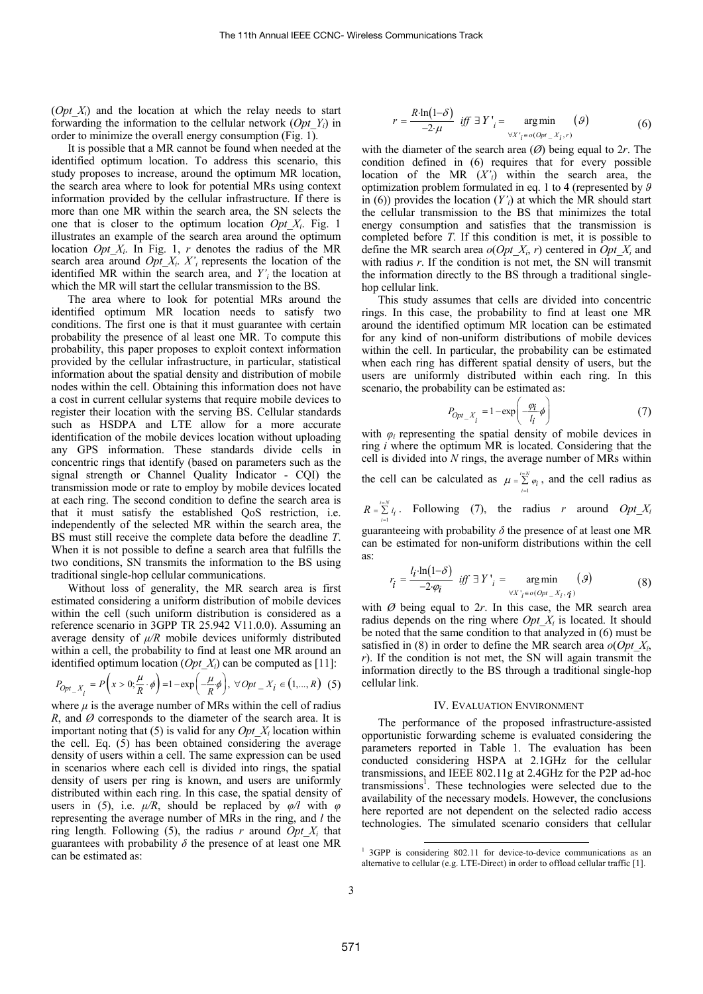(*Opt\_Xi*) and the location at which the relay needs to start forwarding the information to the cellular network (*Opt\_Yi*) in order to minimize the overall energy consumption (Fig. 1).

It is possible that a MR cannot be found when needed at the identified optimum location. To address this scenario, this study proposes to increase, around the optimum MR location, the search area where to look for potential MRs using context information provided by the cellular infrastructure. If there is more than one MR within the search area, the SN selects the one that is closer to the optimum location  $Opt X_i$ . Fig. 1 illustrates an example of the search area around the optimum location *Opt\_Xi*. In Fig. 1, *r* denotes the radius of the MR search area around *Opt X<sub>i</sub>*. *X'<sub>i</sub>* represents the location of the identified MR within the search area, and *Y'i* the location at which the MR will start the cellular transmission to the BS.

The area where to look for potential MRs around the identified optimum MR location needs to satisfy two conditions. The first one is that it must guarantee with certain probability the presence of al least one MR. To compute this probability, this paper proposes to exploit context information provided by the cellular infrastructure, in particular, statistical information about the spatial density and distribution of mobile nodes within the cell. Obtaining this information does not have a cost in current cellular systems that require mobile devices to register their location with the serving BS. Cellular standards such as HSDPA and LTE allow for a more accurate identification of the mobile devices location without uploading any GPS information. These standards divide cells in concentric rings that identify (based on parameters such as the signal strength or Channel Quality Indicator - CQI) the transmission mode or rate to employ by mobile devices located at each ring. The second condition to define the search area is that it must satisfy the established QoS restriction, i.e. independently of the selected MR within the search area, the BS must still receive the complete data before the deadline *T*. When it is not possible to define a search area that fulfills the two conditions, SN transmits the information to the BS using traditional single-hop cellular communications.

Without loss of generality, the MR search area is first estimated considering a uniform distribution of mobile devices within the cell (such uniform distribution is considered as a reference scenario in 3GPP TR 25.942 V11.0.0). Assuming an average density of  $\mu/R$  mobile devices uniformly distributed within a cell, the probability to find at least one MR around an identified optimum location (*Opt\_Xi*) can be computed as [11]:

$$
P_{Opt\_X_i} = P\left(x > 0; \frac{\mu}{R} \cdot \phi\right) = 1 - \exp\left(-\frac{\mu}{R}\phi\right), \ \forall \, Opt\_X_i \in (1, \dots, R) \tag{5}
$$

where  $\mu$  is the average number of MRs within the cell of radius *R*, and *Ø* corresponds to the diameter of the search area. It is important noting that (5) is valid for any *Opt\_Xi* location within the cell. Eq. (5) has been obtained considering the average density of users within a cell. The same expression can be used in scenarios where each cell is divided into rings, the spatial density of users per ring is known, and users are uniformly distributed within each ring. In this case, the spatial density of users in (5), i.e.  $\mu/R$ , should be replaced by  $\varphi/l$  with  $\varphi$ representing the average number of MRs in the ring, and *l* the ring length. Following (5), the radius  $r$  around  $Opt X_i$  that guarantees with probability  $\delta$  the presence of at least one MR can be estimated as:

$$
r = \frac{R \cdot \ln(1-\delta)}{-2 \cdot \mu} \quad \text{iff} \quad \exists \ Y^{\prime}_{i} = \underset{\forall X^{\prime}_{i} \in o(Opt_{-}X_{i}, r)}{\arg \min} \tag{6}
$$

with the diameter of the search area (*Ø*) being equal to 2*r*. The condition defined in (6) requires that for every possible location of the MR (*X'i*) within the search area, the optimization problem formulated in eq. 1 to 4 (represented by *ׇ* in (6)) provides the location (*Y'i*) at which the MR should start the cellular transmission to the BS that minimizes the total energy consumption and satisfies that the transmission is completed before *T*. If this condition is met, it is possible to define the MR search area  $o(Opt_X, r)$  centered in  $Opt_X$  and with radius *r*. If the condition is not met, the SN will transmit the information directly to the BS through a traditional singlehop cellular link.

This study assumes that cells are divided into concentric rings. In this case, the probability to find at least one MR around the identified optimum MR location can be estimated for any kind of non-uniform distributions of mobile devices within the cell. In particular, the probability can be estimated when each ring has different spatial density of users, but the users are uniformly distributed within each ring. In this scenario, the probability can be estimated as:

$$
P_{Opt\_X_i} = 1 - \exp\left(-\frac{\varphi_i}{l_i} \phi\right) \tag{7}
$$

with  $\varphi$  representing the spatial density of mobile devices in ring *i* where the optimum MR is located. Considering that the cell is divided into *N* rings, the average number of MRs within

the cell can be calculated as  $\mu = \sum_{i=1}^{n=N}$  $\mu = \sum_{i=1}^{i=N} \varphi_i$  $=\sum_{i=1}^{i=N} \varphi_i$ , and the cell radius as

$$
R = \sum_{i=1}^{i=N} l_i
$$
. Following (7), the radius *r* around *Opt*  $X_i$ 

guaranteeing with probability  $\delta$  the presence of at least one MR can be estimated for non-uniform distributions within the cell as:

$$
r_{\vec{i}} = \frac{l_{\vec{i}} \cdot \ln(1-\delta)}{-2\cdot \varphi_{\vec{i}}} \quad \text{iff} \quad \exists Y'_{\vec{i}} = \operatorname*{arg\,min}_{\forall X'_{\vec{i}} \in o(\text{Opt }_{-}X_{\vec{i}}, \vec{\eta})} \quad (8)
$$

with  $\emptyset$  being equal to  $2r$ . In this case, the MR search area radius depends on the ring where *Opt\_Xi* is located. It should be noted that the same condition to that analyzed in (6) must be satisfied in (8) in order to define the MR search area  $o(Opt~X_i)$ , *r*). If the condition is not met, the SN will again transmit the information directly to the BS through a traditional single-hop cellular link.

### IV. EVALUATION ENVIRONMENT

The performance of the proposed infrastructure-assisted opportunistic forwarding scheme is evaluated considering the parameters reported in Table 1. The evaluation has been conducted considering HSPA at 2.1GHz for the cellular transmissions, and IEEE 802.11g at 2.4GHz for the P2P ad-hoc transmissions<sup>1</sup>. These technologies were selected due to the availability of the necessary models. However, the conclusions here reported are not dependent on the selected radio access technologies. The simulated scenario considers that cellular

<sup>&</sup>lt;sup>1</sup> 3GPP is considering 802.11 for device-to-device communications as an alternative to cellular (e.g. LTE-Direct) in order to offload cellular traffic [1].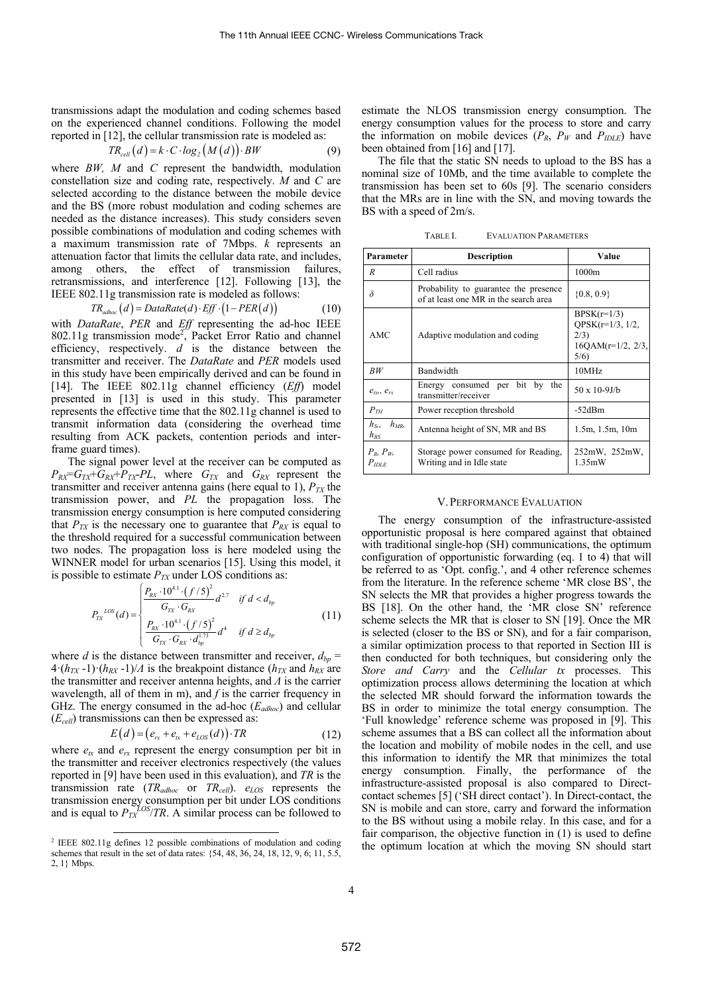transmissions adapt the modulation and coding schemes based on the experienced channel conditions. Following the model reported in [12], the cellular transmission rate is modeled as:

$$
TR_{cell}(d) = k \cdot C \cdot log_2(M(d)) \cdot BW \tag{9}
$$

where *BW, M* and *C* represent the bandwidth, modulation constellation size and coding rate, respectively. *M* and *C* are selected according to the distance between the mobile device and the BS (more robust modulation and coding schemes are needed as the distance increases). This study considers seven possible combinations of modulation and coding schemes with a maximum transmission rate of 7Mbps. *k* represents an attenuation factor that limits the cellular data rate, and includes, among others, the effect of transmission failures, retransmissions, and interference [12]. Following [13], the IEEE 802.11g transmission rate is modeled as follows:

$$
TR_{adhoc}(d) = DataRate(d) \cdot Eff \cdot (1 - PER(d)) \tag{10}
$$

with *DataRate*, *PER* and *Eff* representing the ad-hoc IEEE 802.11g transmission mode<sup>2</sup>, Packet Error Ratio and channel efficiency, respectively. *d* is the distance between the transmitter and receiver. The *DataRate* and *PER* models used in this study have been empirically derived and can be found in [14]. The IEEE 802.11g channel efficiency (*Eff*) model presented in [13] is used in this study. This parameter represents the effective time that the 802.11g channel is used to transmit information data (considering the overhead time resulting from ACK packets, contention periods and interframe guard times).

The signal power level at the receiver can be computed as  $P_{RX} = G_{TX} + G_{RX} + P_{TX} - PL$ , where  $G_{TX}$  and  $G_{RX}$  represent the transmitter and receiver antenna gains (here equal to 1),  $P_{TX}$  the transmission power, and *PL* the propagation loss. The transmission energy consumption is here computed considering that  $P_{TX}$  is the necessary one to guarantee that  $P_{RX}$  is equal to the threshold required for a successful communication between two nodes. The propagation loss is here modeled using the WINNER model for urban scenarios [15]. Using this model, it is possible to estimate  $P_{TX}$  under LOS conditions as:

$$
P_{TX}^{LOS}(d) = \begin{cases} \frac{P_{RX} \cdot 10^{4.1} \cdot (f/5)^2}{G_{TX} \cdot G_{RX}} d^{2.7} & \text{if } d < d_{bp} \\ \frac{P_{RX} \cdot 10^{4.1} \cdot (f/5)^2}{G_{TX} \cdot G_{RX} \cdot d_{bp}^{1.73}} d^4 & \text{if } d \ge d_{bp} \end{cases}
$$
(11)

where *d* is the distance between transmitter and receiver,  $d_{bp}$  =  $4 \cdot (h_{TX} - 1) \cdot (h_{RX} - 1)/\Lambda$  is the breakpoint distance  $(h_{TX}$  and  $h_{RX}$  are the transmitter and receiver antenna heights, and  $\Lambda$  is the carrier wavelength, all of them in m), and *f* is the carrier frequency in GHz. The energy consumed in the ad-hoc (*Eadhoc*) and cellular  $(E_{cell})$  transmissions can then be expressed as:

$$
E(d) = (erx + etx + eLOS(d)) \cdot TR
$$
 (12)

where  $e_{tx}$  and  $e_{rx}$  represent the energy consumption per bit in the transmitter and receiver electronics respectively (the values reported in [9] have been used in this evaluation), and *TR* is the transmission rate (*TRadhoc* or *TRcell*). *eLOS* represents the transmission energy consumption per bit under LOS conditions and is equal to  $P_{TX}^{ZDS}/TR$ . A similar process can be followed to estimate the NLOS transmission energy consumption. The energy consumption values for the process to store and carry the information on mobile devices  $(P_R, P_W$  and  $P_{IDLE}$ ) have been obtained from [16] and [17].

The file that the static SN needs to upload to the BS has a nominal size of 10Mb, and the time available to complete the transmission has been set to 60s [9]. The scenario considers that the MRs are in line with the SN, and moving towards the BS with a speed of 2m/s.

TABLE I. EVALUATION PARAMETERS

| Parameter                             | <b>Description</b>                                                             | Value                                                                     |  |  |
|---------------------------------------|--------------------------------------------------------------------------------|---------------------------------------------------------------------------|--|--|
| R                                     | Cell radius                                                                    | 1000m                                                                     |  |  |
| $\delta$                              | Probability to guarantee the presence<br>of at least one MR in the search area | $\{0.8, 0.9\}$                                                            |  |  |
| AMC                                   | Adaptive modulation and coding                                                 | $BPSK(r=1/3)$<br>$OPSK(r=1/3, 1/2,$<br>2/3)<br>$16QAM(r=1/2, 2/3,$<br>5/6 |  |  |
| BW                                    | Bandwidth                                                                      | 10MHz                                                                     |  |  |
| $e_{tx}$ , $e_{rx}$                   | Energy consumed per bit by<br>the<br>transmitter/receiver                      | $50 \times 10 - 9$ J/b                                                    |  |  |
| $P_{TH}$                              | Power reception threshold                                                      | -52dBm                                                                    |  |  |
| $h_{\rm S}$ .<br>$h_{MR}$<br>$h_{BS}$ | Antenna height of SN, MR and BS                                                | 1.5m, 1.5m, 10m                                                           |  |  |
| $P_R$ , $P_W$ ,<br>$P_{IDLE}$         | Storage power consumed for Reading,<br>Writing and in Idle state               | 252mW, 252mW,<br>1.35mW                                                   |  |  |

#### V.PERFORMANCE EVALUATION

The energy consumption of the infrastructure-assisted opportunistic proposal is here compared against that obtained with traditional single-hop (SH) communications, the optimum configuration of opportunistic forwarding (eq. 1 to 4) that will be referred to as 'Opt. config.', and 4 other reference schemes from the literature. In the reference scheme 'MR close BS', the SN selects the MR that provides a higher progress towards the BS [18]. On the other hand, the 'MR close SN' reference scheme selects the MR that is closer to SN [19]. Once the MR is selected (closer to the BS or SN), and for a fair comparison, a similar optimization process to that reported in Section III is then conducted for both techniques, but considering only the *Store and Carry* and the *Cellular tx* processes. This optimization process allows determining the location at which the selected MR should forward the information towards the BS in order to minimize the total energy consumption. The 'Full knowledge' reference scheme was proposed in [9]. This scheme assumes that a BS can collect all the information about the location and mobility of mobile nodes in the cell, and use this information to identify the MR that minimizes the total energy consumption. Finally, the performance of the infrastructure-assisted proposal is also compared to Directcontact schemes [5] ('SH direct contact'). In Direct-contact, the SN is mobile and can store, carry and forward the information to the BS without using a mobile relay. In this case, and for a fair comparison, the objective function in (1) is used to define the optimum location at which the moving SN should start

<sup>&</sup>lt;sup>2</sup> IEEE 802.11g defines 12 possible combinations of modulation and coding schemes that result in the set of data rates: {54, 48, 36, 24, 18, 12, 9, 6; 11, 5.5, 2, 1} Mbps.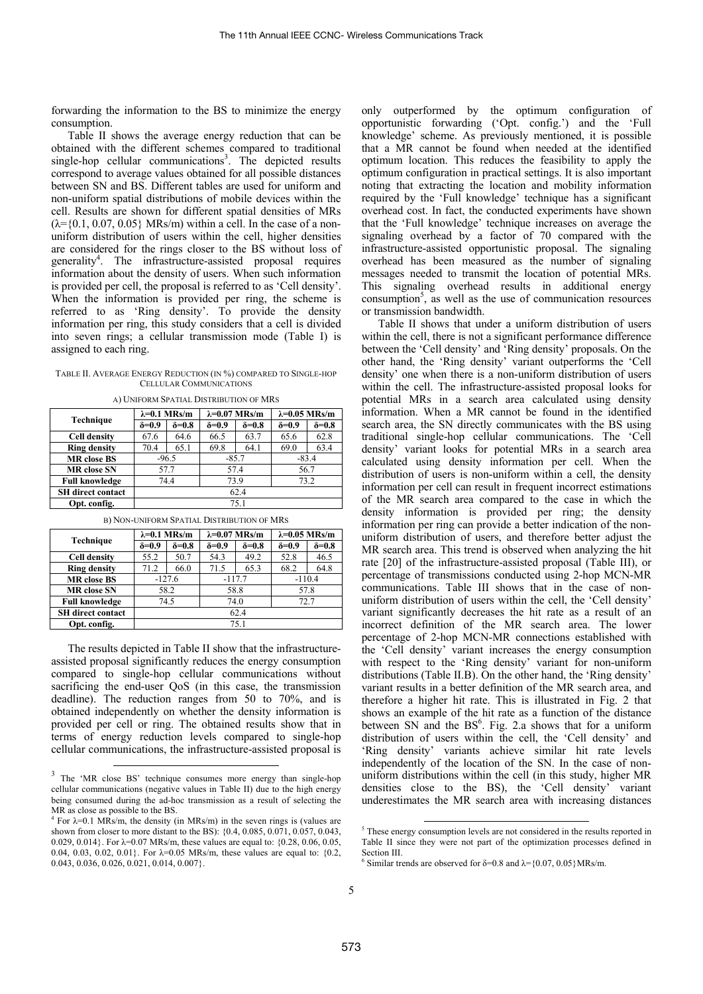forwarding the information to the BS to minimize the energy consumption.

Table II shows the average energy reduction that can be obtained with the different schemes compared to traditional single-hop cellular communications<sup>3</sup>. The depicted results correspond to average values obtained for all possible distances between SN and BS. Different tables are used for uniform and non-uniform spatial distributions of mobile devices within the cell. Results are shown for different spatial densities of MRs  $(\lambda = \{0.1, 0.07, 0.05\}$  MRs/m) within a cell. In the case of a nonuniform distribution of users within the cell, higher densities are considered for the rings closer to the BS without loss of generality<sup>4</sup>. The infrastructure-assisted proposal requires information about the density of users. When such information is provided per cell, the proposal is referred to as 'Cell density'. When the information is provided per ring, the scheme is referred to as 'Ring density'. To provide the density information per ring, this study considers that a cell is divided into seven rings; a cellular transmission mode (Table I) is assigned to each ring.

## TABLE II. AVERAGE ENERGY REDUCTION (IN %) COMPARED TO SINGLE-HOP CELLULAR COMMUNICATIONS

| <b>Technique</b>         | $\lambda = 0.1$ MRs/m |                | $\lambda = 0.07$ MRs/m |                | $\lambda = 0.05$ MRs/m |                |
|--------------------------|-----------------------|----------------|------------------------|----------------|------------------------|----------------|
|                          | $\delta = 0.9$        | $\delta = 0.8$ | $\delta = 0.9$         | $\delta = 0.8$ | $\delta = 0.9$         | $\delta = 0.8$ |
| <b>Cell density</b>      | 67.6                  | 64.6           | 66.5                   | 63.7           | 65.6                   | 62.8           |
| <b>Ring density</b>      | 70.4                  | 65.1           | 69.8                   | 64.1           | 69.0                   | 63.4           |
| <b>MR</b> close BS       | $-96.5$               |                | $-85.7$                |                | $-83.4$                |                |
| <b>MR</b> close SN       | 57.7                  |                | 57.4                   |                | 56.7                   |                |
| <b>Full knowledge</b>    | 74.4                  |                | 73.9                   |                | 73.2                   |                |
| <b>SH</b> direct contact | 62.4                  |                |                        |                |                        |                |
| Opt. config.             | 75.1                  |                |                        |                |                        |                |

A) UNIFORM SPATIAL DISTRIBUTION OF MRS

| <b>Technique</b>         | $\lambda = 0.1$ MRs/m |                | $\lambda = 0.07$ MRs/m |                | $\lambda = 0.05$ MRs/m |                |
|--------------------------|-----------------------|----------------|------------------------|----------------|------------------------|----------------|
|                          | $\delta = 0.9$        | $\delta = 0.8$ | $\delta = 0.9$         | $\delta = 0.8$ | $\delta = 0.9$         | $\delta = 0.8$ |
| <b>Cell density</b>      | 55.2                  | 50.7           | 54.3                   | 49.2           | 52.8                   | 46.5           |
| <b>Ring density</b>      | 71.2                  | 66.0           | 71.5                   | 65.3           | 68.2                   | 64.8           |
| <b>MR</b> close BS       | $-127.6$              |                | $-117.7$               |                | $-110.4$               |                |
| <b>MR</b> close SN       | 58.2                  |                | 58.8                   |                | 57.8                   |                |
| <b>Full knowledge</b>    | 74.5                  |                | 74.0                   |                | 72.7                   |                |
| <b>SH</b> direct contact | 62.4                  |                |                        |                |                        |                |
| Opt. config.             | 75.1                  |                |                        |                |                        |                |

B) NON-UNIFORM SPATIAL DISTRIBUTION OF MRS

The results depicted in Table II show that the infrastructureassisted proposal significantly reduces the energy consumption compared to single-hop cellular communications without sacrificing the end-user QoS (in this case, the transmission deadline). The reduction ranges from 50 to 70%, and is obtained independently on whether the density information is provided per cell or ring. The obtained results show that in terms of energy reduction levels compared to single-hop cellular communications, the infrastructure-assisted proposal is

only outperformed by the optimum configuration of opportunistic forwarding ('Opt. config.') and the 'Full knowledge' scheme. As previously mentioned, it is possible that a MR cannot be found when needed at the identified optimum location. This reduces the feasibility to apply the optimum configuration in practical settings. It is also important noting that extracting the location and mobility information required by the 'Full knowledge' technique has a significant overhead cost. In fact, the conducted experiments have shown that the 'Full knowledge' technique increases on average the signaling overhead by a factor of 70 compared with the infrastructure-assisted opportunistic proposal. The signaling overhead has been measured as the number of signaling messages needed to transmit the location of potential MRs. This signaling overhead results in additional energy consumption<sup>5</sup>, as well as the use of communication resources or transmission bandwidth.

Table II shows that under a uniform distribution of users within the cell, there is not a significant performance difference between the 'Cell density' and 'Ring density' proposals. On the other hand, the 'Ring density' variant outperforms the 'Cell density' one when there is a non-uniform distribution of users within the cell. The infrastructure-assisted proposal looks for potential MRs in a search area calculated using density information. When a MR cannot be found in the identified search area, the SN directly communicates with the BS using traditional single-hop cellular communications. The 'Cell density' variant looks for potential MRs in a search area calculated using density information per cell. When the distribution of users is non-uniform within a cell, the density information per cell can result in frequent incorrect estimations of the MR search area compared to the case in which the density information is provided per ring; the density information per ring can provide a better indication of the nonuniform distribution of users, and therefore better adjust the MR search area. This trend is observed when analyzing the hit rate [20] of the infrastructure-assisted proposal (Table III), or percentage of transmissions conducted using 2-hop MCN-MR communications. Table III shows that in the case of nonuniform distribution of users within the cell, the 'Cell density' variant significantly decreases the hit rate as a result of an incorrect definition of the MR search area. The lower percentage of 2-hop MCN-MR connections established with the 'Cell density' variant increases the energy consumption with respect to the 'Ring density' variant for non-uniform distributions (Table II.B). On the other hand, the 'Ring density' variant results in a better definition of the MR search area, and therefore a higher hit rate. This is illustrated in Fig. 2 that shows an example of the hit rate as a function of the distance between SN and the BS<sup>6</sup>. Fig. 2.a shows that for a uniform distribution of users within the cell, the 'Cell density' and 'Ring density' variants achieve similar hit rate levels independently of the location of the SN. In the case of nonuniform distributions within the cell (in this study, higher MR densities close to the BS), the 'Cell density' variant underestimates the MR search area with increasing distances

 <sup>3</sup> The 'MR close BS' technique consumes more energy than single-hop cellular communications (negative values in Table II) due to the high energy being consumed during the ad-hoc transmission as a result of selecting the MR as close as possible to the BS.

<sup>&</sup>lt;sup>4</sup> For  $\lambda$ =0.1 MRs/m, the density (in MRs/m) in the seven rings is (values are shown from closer to more distant to the BS): {0.4, 0.085, 0.071, 0.057, 0.043, 0.029, 0.014}. For  $\lambda$ =0.07 MRs/m, these values are equal to: {0.28, 0.06, 0.05}. 0.04, 0.03, 0.02, 0.01}. For  $\lambda$ =0.05 MRs/m, these values are equal to: {0.2,} 0.043, 0.036, 0.026, 0.021, 0.014, 0.007}.

<sup>&</sup>lt;sup>5</sup> These energy consumption levels are not considered in the results reported in Table II since they were not part of the optimization processes defined in Section III.

<sup>&</sup>lt;sup>6</sup> Similar trends are observed for  $\delta$ =0.8 and  $\lambda$ ={0.07, 0.05}MRs/m.